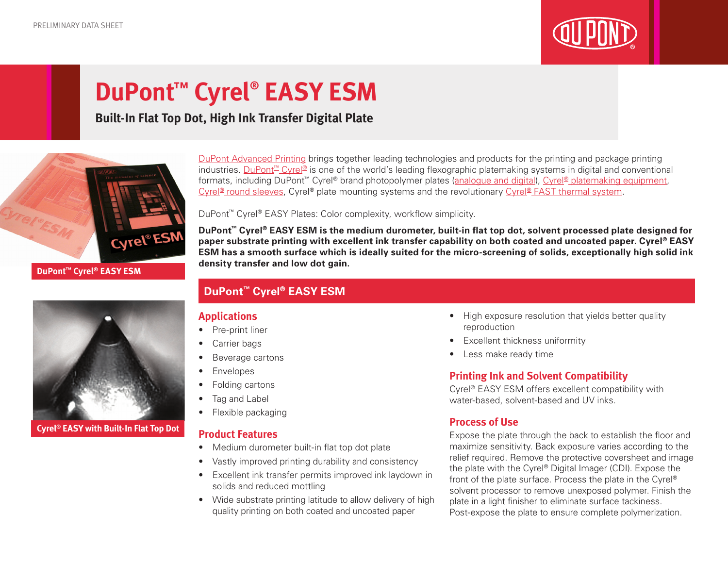

# **DuPont™ Cyrel® EASY ESM**

### **Built-In Flat Top Dot, High Ink Transfer Digital Plate**



[DuPont Advanced Printing](http://www.dupont.co.uk/products-and-services/printing-package-printing.html) brings together leading technologies and products for the printing and package printing industries. [DuPont™ Cyrel®](http://www.dupont.co.uk/products-and-services/printing-package-printing/flexographic-platemaking-systems/brands/cyrel.html) is one of the world's leading flexographic platemaking systems in digital and conventional formats, including DuPont<sup>™</sup> Cyrel® brand photopolymer plates ([analogue and digital\)](http://www.dupont.co.uk/products-and-services/printing-package-printing/flexographic-platemaking-systems/brands/cyrel/products/cyrel-flexo-plates.html), [Cyrel® platemaking equipment,](http://www.dupont.co.uk/products-and-services/printing-package-printing/flexographic-platemaking-systems/brands/cyrel/products/cyrel-platemaking-equipment.html) Cyrel<sup>®</sup> round sleeves, Cyrel® plate mounting systems and the revolutionary [Cyrel® FAST thermal system.](http://www.dupont.co.uk/products-and-services/printing-package-printing/flexographic-platemaking-systems/brands/cyrel/products/cyrel-FAST-thermal-workflow.html)

DuPont™ Cyrel® EASY Plates: Color complexity, workflow simplicity.

**DuPont™ Cyrel® EASY ESM is the medium durometer, built-in flat top dot, solvent processed plate designed for paper substrate printing with excellent ink transfer capability on both coated and uncoated paper. Cyrel® EASY ESM has a smooth surface which is ideally suited for the micro-screening of solids, exceptionally high solid ink density transfer and low dot gain.**

### **DuPont™ Cyrel® EASY ESM**

### **Applications**

- Pre-print liner
- Carrier bags
- Beverage cartons
- Envelopes
- Folding cartons
- Tag and Label
- Flexible packaging

### **Product Features**

- Medium durometer built-in flat top dot plate
- Vastly improved printing durability and consistency
- Excellent ink transfer permits improved ink laydown in solids and reduced mottling
- Wide substrate printing latitude to allow delivery of high quality printing on both coated and uncoated paper
- High exposure resolution that yields better quality reproduction
- Excellent thickness uniformity
- Less make ready time

### **Printing Ink and Solvent Compatibility**

Cyrel® EASY ESM offers excellent compatibility with water-based, solvent-based and UV inks.

### **Process of Use**

Expose the plate through the back to establish the floor and maximize sensitivity. Back exposure varies according to the relief required. Remove the protective coversheet and image the plate with the Cyrel® Digital Imager (CDI). Expose the front of the plate surface. Process the plate in the Cyrel® solvent processor to remove unexposed polymer. Finish the plate in a light finisher to eliminate surface tackiness. Post-expose the plate to ensure complete polymerization.



**Cyrel® EASY with Built-In Flat Top Dot**